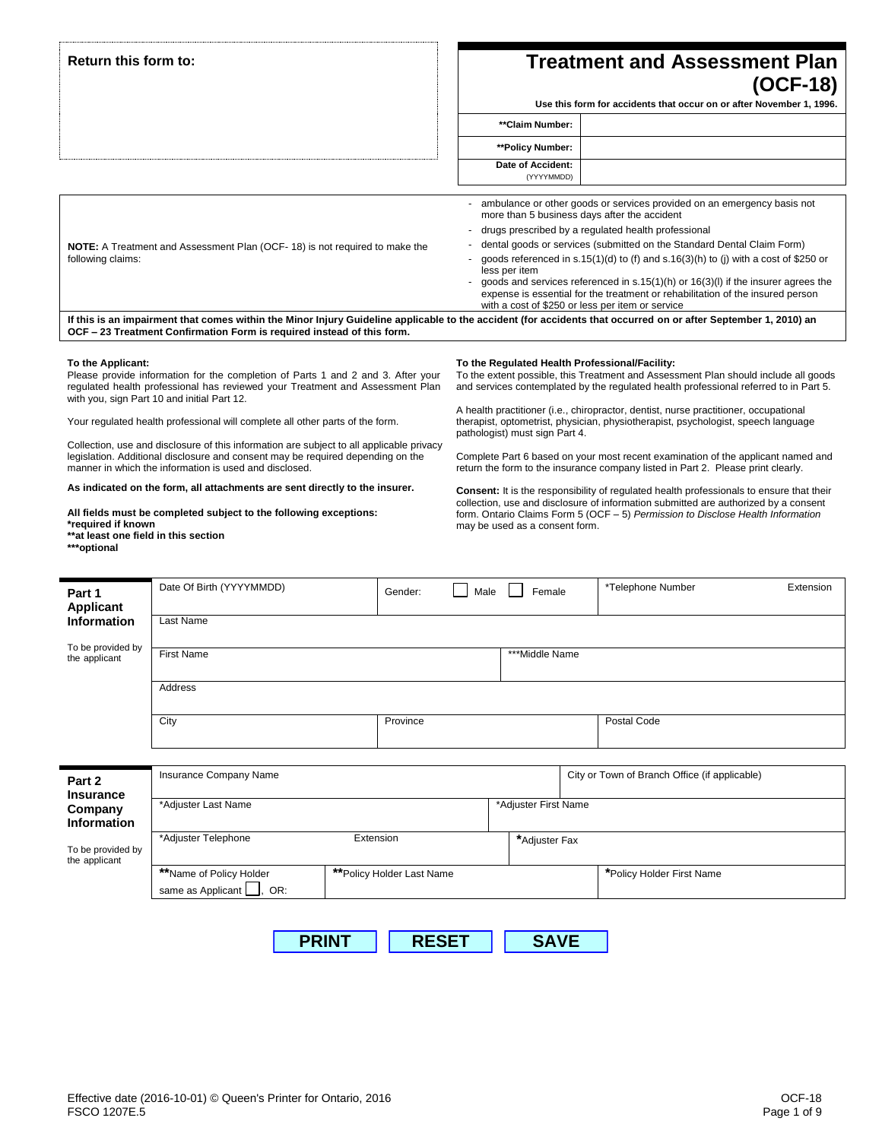|                                                                                                | Return this form to:                                                                                                                                                                                                                                                                                                                                                                                                                                                                                                                                                                                                                                                                                                       |          |                                                                                                                                                                                                                                                                                                                                     |                                                                  | <b>Treatment and Assessment Plan</b> |                                                                                                                                                                                                                                                                                                                                                                                                                                                                                                                                                                                                                                                                                                                                                                                                                                                                                       |           |  |
|------------------------------------------------------------------------------------------------|----------------------------------------------------------------------------------------------------------------------------------------------------------------------------------------------------------------------------------------------------------------------------------------------------------------------------------------------------------------------------------------------------------------------------------------------------------------------------------------------------------------------------------------------------------------------------------------------------------------------------------------------------------------------------------------------------------------------------|----------|-------------------------------------------------------------------------------------------------------------------------------------------------------------------------------------------------------------------------------------------------------------------------------------------------------------------------------------|------------------------------------------------------------------|--------------------------------------|---------------------------------------------------------------------------------------------------------------------------------------------------------------------------------------------------------------------------------------------------------------------------------------------------------------------------------------------------------------------------------------------------------------------------------------------------------------------------------------------------------------------------------------------------------------------------------------------------------------------------------------------------------------------------------------------------------------------------------------------------------------------------------------------------------------------------------------------------------------------------------------|-----------|--|
|                                                                                                |                                                                                                                                                                                                                                                                                                                                                                                                                                                                                                                                                                                                                                                                                                                            |          | (OCF-18)<br>Use this form for accidents that occur on or after November 1, 1996.                                                                                                                                                                                                                                                    |                                                                  |                                      |                                                                                                                                                                                                                                                                                                                                                                                                                                                                                                                                                                                                                                                                                                                                                                                                                                                                                       |           |  |
|                                                                                                |                                                                                                                                                                                                                                                                                                                                                                                                                                                                                                                                                                                                                                                                                                                            |          |                                                                                                                                                                                                                                                                                                                                     |                                                                  |                                      |                                                                                                                                                                                                                                                                                                                                                                                                                                                                                                                                                                                                                                                                                                                                                                                                                                                                                       |           |  |
|                                                                                                |                                                                                                                                                                                                                                                                                                                                                                                                                                                                                                                                                                                                                                                                                                                            |          |                                                                                                                                                                                                                                                                                                                                     | **Claim Number:                                                  |                                      |                                                                                                                                                                                                                                                                                                                                                                                                                                                                                                                                                                                                                                                                                                                                                                                                                                                                                       |           |  |
|                                                                                                |                                                                                                                                                                                                                                                                                                                                                                                                                                                                                                                                                                                                                                                                                                                            |          |                                                                                                                                                                                                                                                                                                                                     | **Policy Number:                                                 |                                      |                                                                                                                                                                                                                                                                                                                                                                                                                                                                                                                                                                                                                                                                                                                                                                                                                                                                                       |           |  |
|                                                                                                |                                                                                                                                                                                                                                                                                                                                                                                                                                                                                                                                                                                                                                                                                                                            |          |                                                                                                                                                                                                                                                                                                                                     | Date of Accident:<br>(YYYYMMDD)                                  |                                      |                                                                                                                                                                                                                                                                                                                                                                                                                                                                                                                                                                                                                                                                                                                                                                                                                                                                                       |           |  |
|                                                                                                |                                                                                                                                                                                                                                                                                                                                                                                                                                                                                                                                                                                                                                                                                                                            |          |                                                                                                                                                                                                                                                                                                                                     |                                                                  |                                      | ambulance or other goods or services provided on an emergency basis not<br>more than 5 business days after the accident                                                                                                                                                                                                                                                                                                                                                                                                                                                                                                                                                                                                                                                                                                                                                               |           |  |
|                                                                                                |                                                                                                                                                                                                                                                                                                                                                                                                                                                                                                                                                                                                                                                                                                                            |          |                                                                                                                                                                                                                                                                                                                                     |                                                                  |                                      | drugs prescribed by a regulated health professional                                                                                                                                                                                                                                                                                                                                                                                                                                                                                                                                                                                                                                                                                                                                                                                                                                   |           |  |
|                                                                                                | <b>NOTE:</b> A Treatment and Assessment Plan (OCF-18) is not required to make the                                                                                                                                                                                                                                                                                                                                                                                                                                                                                                                                                                                                                                          |          |                                                                                                                                                                                                                                                                                                                                     |                                                                  |                                      | dental goods or services (submitted on the Standard Dental Claim Form)                                                                                                                                                                                                                                                                                                                                                                                                                                                                                                                                                                                                                                                                                                                                                                                                                |           |  |
| following claims:                                                                              |                                                                                                                                                                                                                                                                                                                                                                                                                                                                                                                                                                                                                                                                                                                            |          | goods referenced in s.15(1)(d) to (f) and s.16(3)(h) to (j) with a cost of \$250 or<br>less per item<br>goods and services referenced in $s.15(1)(h)$ or $16(3)(l)$ if the insurer agrees the<br>expense is essential for the treatment or rehabilitation of the insured person<br>with a cost of \$250 or less per item or service |                                                                  |                                      |                                                                                                                                                                                                                                                                                                                                                                                                                                                                                                                                                                                                                                                                                                                                                                                                                                                                                       |           |  |
|                                                                                                | If this is an impairment that comes within the Minor Injury Guideline applicable to the accident (for accidents that occurred on or after September 1, 2010) an<br>OCF - 23 Treatment Confirmation Form is required instead of this form.                                                                                                                                                                                                                                                                                                                                                                                                                                                                                  |          |                                                                                                                                                                                                                                                                                                                                     |                                                                  |                                      |                                                                                                                                                                                                                                                                                                                                                                                                                                                                                                                                                                                                                                                                                                                                                                                                                                                                                       |           |  |
| To the Applicant:<br>*required if known<br>**at least one field in this section<br>***optional | Please provide information for the completion of Parts 1 and 2 and 3. After your<br>regulated health professional has reviewed your Treatment and Assessment Plan<br>with you, sign Part 10 and initial Part 12.<br>Your regulated health professional will complete all other parts of the form.<br>Collection, use and disclosure of this information are subject to all applicable privacy<br>legislation. Additional disclosure and consent may be required depending on the<br>manner in which the information is used and disclosed.<br>As indicated on the form, all attachments are sent directly to the insurer.<br>All fields must be completed subject to the following exceptions:<br>Date Of Birth (YYYYMMDD) |          |                                                                                                                                                                                                                                                                                                                                     | pathologist) must sign Part 4.<br>may be used as a consent form. |                                      | To the Regulated Health Professional/Facility:<br>To the extent possible, this Treatment and Assessment Plan should include all goods<br>and services contemplated by the regulated health professional referred to in Part 5.<br>A health practitioner (i.e., chiropractor, dentist, nurse practitioner, occupational<br>therapist, optometrist, physician, physiotherapist, psychologist, speech language<br>Complete Part 6 based on your most recent examination of the applicant named and<br>return the form to the insurance company listed in Part 2. Please print clearly.<br><b>Consent:</b> It is the responsibility of regulated health professionals to ensure that their<br>collection, use and disclosure of information submitted are authorized by a consent<br>form. Ontario Claims Form 5 (OCF - 5) Permission to Disclose Health Information<br>*Telephone Number | Extension |  |
| Part 1<br><b>Applicant</b>                                                                     |                                                                                                                                                                                                                                                                                                                                                                                                                                                                                                                                                                                                                                                                                                                            | Gender:  | Male                                                                                                                                                                                                                                                                                                                                | Female                                                           |                                      |                                                                                                                                                                                                                                                                                                                                                                                                                                                                                                                                                                                                                                                                                                                                                                                                                                                                                       |           |  |
| <b>Information</b>                                                                             | Last Name                                                                                                                                                                                                                                                                                                                                                                                                                                                                                                                                                                                                                                                                                                                  |          |                                                                                                                                                                                                                                                                                                                                     |                                                                  |                                      |                                                                                                                                                                                                                                                                                                                                                                                                                                                                                                                                                                                                                                                                                                                                                                                                                                                                                       |           |  |
| To be provided by                                                                              | <b>First Name</b>                                                                                                                                                                                                                                                                                                                                                                                                                                                                                                                                                                                                                                                                                                          |          |                                                                                                                                                                                                                                                                                                                                     | ***Middle Name                                                   |                                      |                                                                                                                                                                                                                                                                                                                                                                                                                                                                                                                                                                                                                                                                                                                                                                                                                                                                                       |           |  |
| the applicant                                                                                  |                                                                                                                                                                                                                                                                                                                                                                                                                                                                                                                                                                                                                                                                                                                            |          |                                                                                                                                                                                                                                                                                                                                     |                                                                  |                                      |                                                                                                                                                                                                                                                                                                                                                                                                                                                                                                                                                                                                                                                                                                                                                                                                                                                                                       |           |  |
|                                                                                                | Address                                                                                                                                                                                                                                                                                                                                                                                                                                                                                                                                                                                                                                                                                                                    |          |                                                                                                                                                                                                                                                                                                                                     |                                                                  |                                      |                                                                                                                                                                                                                                                                                                                                                                                                                                                                                                                                                                                                                                                                                                                                                                                                                                                                                       |           |  |
|                                                                                                | City                                                                                                                                                                                                                                                                                                                                                                                                                                                                                                                                                                                                                                                                                                                       | Province |                                                                                                                                                                                                                                                                                                                                     |                                                                  |                                      | Postal Code                                                                                                                                                                                                                                                                                                                                                                                                                                                                                                                                                                                                                                                                                                                                                                                                                                                                           |           |  |
|                                                                                                |                                                                                                                                                                                                                                                                                                                                                                                                                                                                                                                                                                                                                                                                                                                            |          |                                                                                                                                                                                                                                                                                                                                     |                                                                  |                                      |                                                                                                                                                                                                                                                                                                                                                                                                                                                                                                                                                                                                                                                                                                                                                                                                                                                                                       |           |  |
|                                                                                                |                                                                                                                                                                                                                                                                                                                                                                                                                                                                                                                                                                                                                                                                                                                            |          |                                                                                                                                                                                                                                                                                                                                     |                                                                  |                                      |                                                                                                                                                                                                                                                                                                                                                                                                                                                                                                                                                                                                                                                                                                                                                                                                                                                                                       |           |  |
| Part 2                                                                                         | Insurance Company Name                                                                                                                                                                                                                                                                                                                                                                                                                                                                                                                                                                                                                                                                                                     |          |                                                                                                                                                                                                                                                                                                                                     |                                                                  |                                      | City or Town of Branch Office (if applicable)                                                                                                                                                                                                                                                                                                                                                                                                                                                                                                                                                                                                                                                                                                                                                                                                                                         |           |  |

| Part 2<br><b>Insurance</b><br>Company             | Insurance Company Name<br>*Adjuster Last Name       |                           | *Adjuster First Name | City or Town of Branch Office (if applicable) |
|---------------------------------------------------|-----------------------------------------------------|---------------------------|----------------------|-----------------------------------------------|
| Information<br>To be provided by<br>the applicant | *Adjuster Telephone                                 | Extension                 | *Adjuster Fax        |                                               |
|                                                   | **Name of Policy Holder<br>same as Applicant<br>OR: | **Policy Holder Last Name |                      | *Policy Holder First Name                     |

**PRINT RESET SAVE**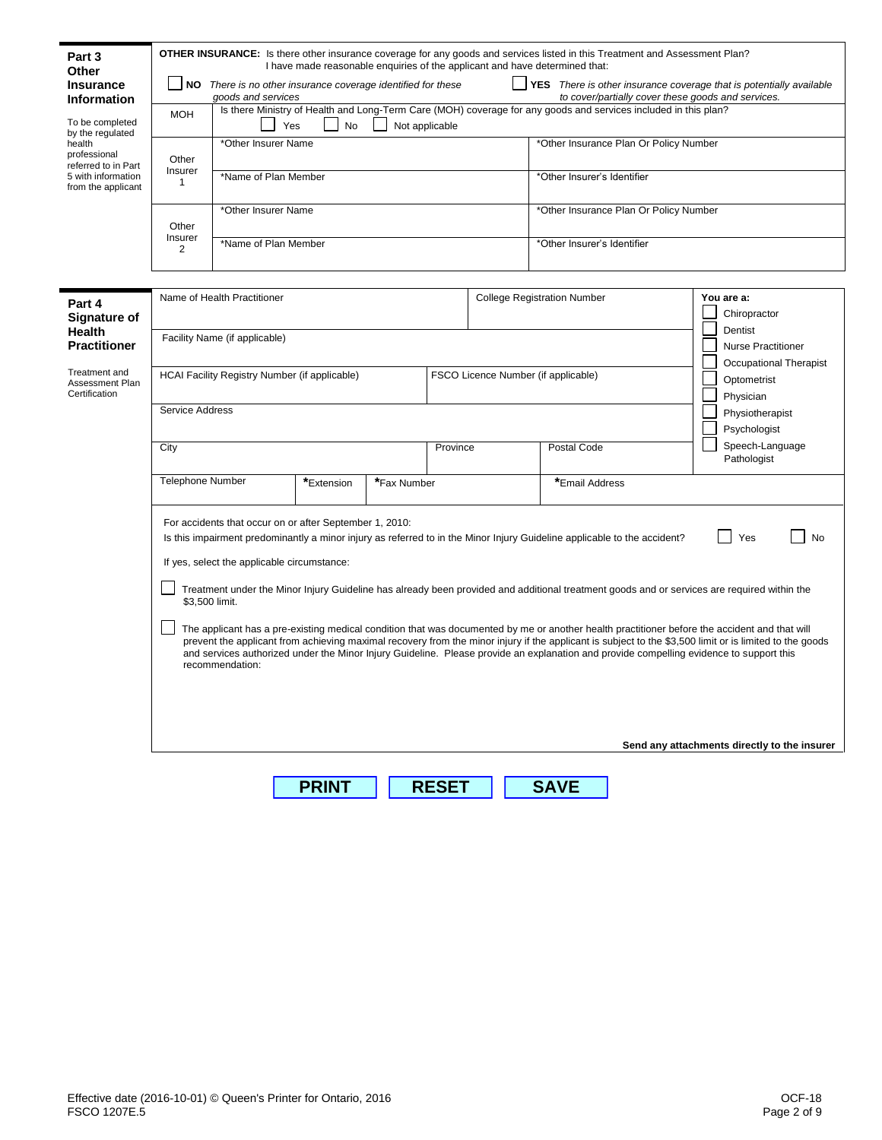| Part 3<br>Other                                                 |                                                                                                                                                                                                                                                                                                                                                                                                                                                                        |                                                                                    | I have made reasonable enquiries of the applicant and have determined that: |  |                                                    |             |                                        | <b>OTHER INSURANCE:</b> Is there other insurance coverage for any goods and services listed in this Treatment and Assessment Plan?          |            |                                              |
|-----------------------------------------------------------------|------------------------------------------------------------------------------------------------------------------------------------------------------------------------------------------------------------------------------------------------------------------------------------------------------------------------------------------------------------------------------------------------------------------------------------------------------------------------|------------------------------------------------------------------------------------|-----------------------------------------------------------------------------|--|----------------------------------------------------|-------------|----------------------------------------|---------------------------------------------------------------------------------------------------------------------------------------------|------------|----------------------------------------------|
| Insurance<br><b>Information</b>                                 |                                                                                                                                                                                                                                                                                                                                                                                                                                                                        | NO There is no other insurance coverage identified for these<br>goods and services |                                                                             |  |                                                    |             |                                        | <b>YES</b> There is other insurance coverage that is potentially available<br>to cover/partially cover these goods and services.            |            |                                              |
| To be completed<br>by the regulated                             | <b>MOH</b>                                                                                                                                                                                                                                                                                                                                                                                                                                                             | Yes                                                                                | No                                                                          |  | Not applicable                                     |             |                                        | Is there Ministry of Health and Long-Term Care (MOH) coverage for any goods and services included in this plan?                             |            |                                              |
| health<br>professional                                          | Other                                                                                                                                                                                                                                                                                                                                                                                                                                                                  | *Other Insurer Name                                                                |                                                                             |  |                                                    |             | *Other Insurance Plan Or Policy Number |                                                                                                                                             |            |                                              |
| referred to in Part<br>5 with information<br>from the applicant | Insurer<br>*Name of Plan Member<br>$\mathbf{1}$                                                                                                                                                                                                                                                                                                                                                                                                                        |                                                                                    |                                                                             |  | *Other Insurer's Identifier                        |             |                                        |                                                                                                                                             |            |                                              |
|                                                                 | Other                                                                                                                                                                                                                                                                                                                                                                                                                                                                  | *Other Insurer Name                                                                |                                                                             |  |                                                    |             |                                        | *Other Insurance Plan Or Policy Number                                                                                                      |            |                                              |
|                                                                 | Insurer<br>2                                                                                                                                                                                                                                                                                                                                                                                                                                                           | *Name of Plan Member                                                               |                                                                             |  |                                                    |             |                                        | *Other Insurer's Identifier                                                                                                                 |            |                                              |
|                                                                 |                                                                                                                                                                                                                                                                                                                                                                                                                                                                        |                                                                                    |                                                                             |  |                                                    |             |                                        |                                                                                                                                             |            |                                              |
| Part 4<br>Signature of                                          |                                                                                                                                                                                                                                                                                                                                                                                                                                                                        | Name of Health Practitioner                                                        |                                                                             |  |                                                    |             |                                        | <b>College Registration Number</b>                                                                                                          | You are a: | Chiropractor                                 |
| <b>Health</b><br>Practitioner                                   | Facility Name (if applicable)                                                                                                                                                                                                                                                                                                                                                                                                                                          |                                                                                    |                                                                             |  | Dentist<br><b>Nurse Practitioner</b>               |             |                                        |                                                                                                                                             |            |                                              |
| Treatment and<br>Assessment Plan                                | FSCO Licence Number (if applicable)<br>HCAI Facility Registry Number (if applicable)                                                                                                                                                                                                                                                                                                                                                                                   |                                                                                    |                                                                             |  | Occupational Therapist<br>Optometrist<br>Physician |             |                                        |                                                                                                                                             |            |                                              |
| Certification                                                   | Service Address                                                                                                                                                                                                                                                                                                                                                                                                                                                        |                                                                                    |                                                                             |  |                                                    |             |                                        |                                                                                                                                             |            |                                              |
|                                                                 |                                                                                                                                                                                                                                                                                                                                                                                                                                                                        |                                                                                    |                                                                             |  |                                                    |             |                                        | Physiotherapist<br>Psychologist                                                                                                             |            |                                              |
|                                                                 | City                                                                                                                                                                                                                                                                                                                                                                                                                                                                   |                                                                                    |                                                                             |  | Province                                           | Postal Code |                                        |                                                                                                                                             |            | Speech-Language<br>Pathologist               |
|                                                                 | <b>Telephone Number</b>                                                                                                                                                                                                                                                                                                                                                                                                                                                |                                                                                    | *Extension<br>*Fax Number                                                   |  | *Email Address                                     |             |                                        |                                                                                                                                             |            |                                              |
|                                                                 | For accidents that occur on or after September 1, 2010:<br>Yes<br>Is this impairment predominantly a minor injury as referred to in the Minor Injury Guideline applicable to the accident?<br><b>No</b><br>If yes, select the applicable circumstance:                                                                                                                                                                                                                 |                                                                                    |                                                                             |  |                                                    |             |                                        |                                                                                                                                             |            |                                              |
|                                                                 |                                                                                                                                                                                                                                                                                                                                                                                                                                                                        |                                                                                    |                                                                             |  |                                                    |             |                                        |                                                                                                                                             |            |                                              |
|                                                                 |                                                                                                                                                                                                                                                                                                                                                                                                                                                                        | \$3,500 limit.                                                                     |                                                                             |  |                                                    |             |                                        | Treatment under the Minor Injury Guideline has already been provided and additional treatment goods and or services are required within the |            |                                              |
|                                                                 | The applicant has a pre-existing medical condition that was documented by me or another health practitioner before the accident and that will<br>prevent the applicant from achieving maximal recovery from the minor injury if the applicant is subject to the \$3,500 limit or is limited to the goods<br>and services authorized under the Minor Injury Guideline. Please provide an explanation and provide compelling evidence to support this<br>recommendation: |                                                                                    |                                                                             |  |                                                    |             |                                        |                                                                                                                                             |            |                                              |
|                                                                 |                                                                                                                                                                                                                                                                                                                                                                                                                                                                        |                                                                                    |                                                                             |  |                                                    |             |                                        |                                                                                                                                             |            |                                              |
|                                                                 |                                                                                                                                                                                                                                                                                                                                                                                                                                                                        |                                                                                    |                                                                             |  |                                                    |             |                                        |                                                                                                                                             |            | Send any attachments directly to the insurer |
|                                                                 |                                                                                                                                                                                                                                                                                                                                                                                                                                                                        |                                                                                    |                                                                             |  |                                                    |             |                                        |                                                                                                                                             |            |                                              |

**PRINT RESET SAVE**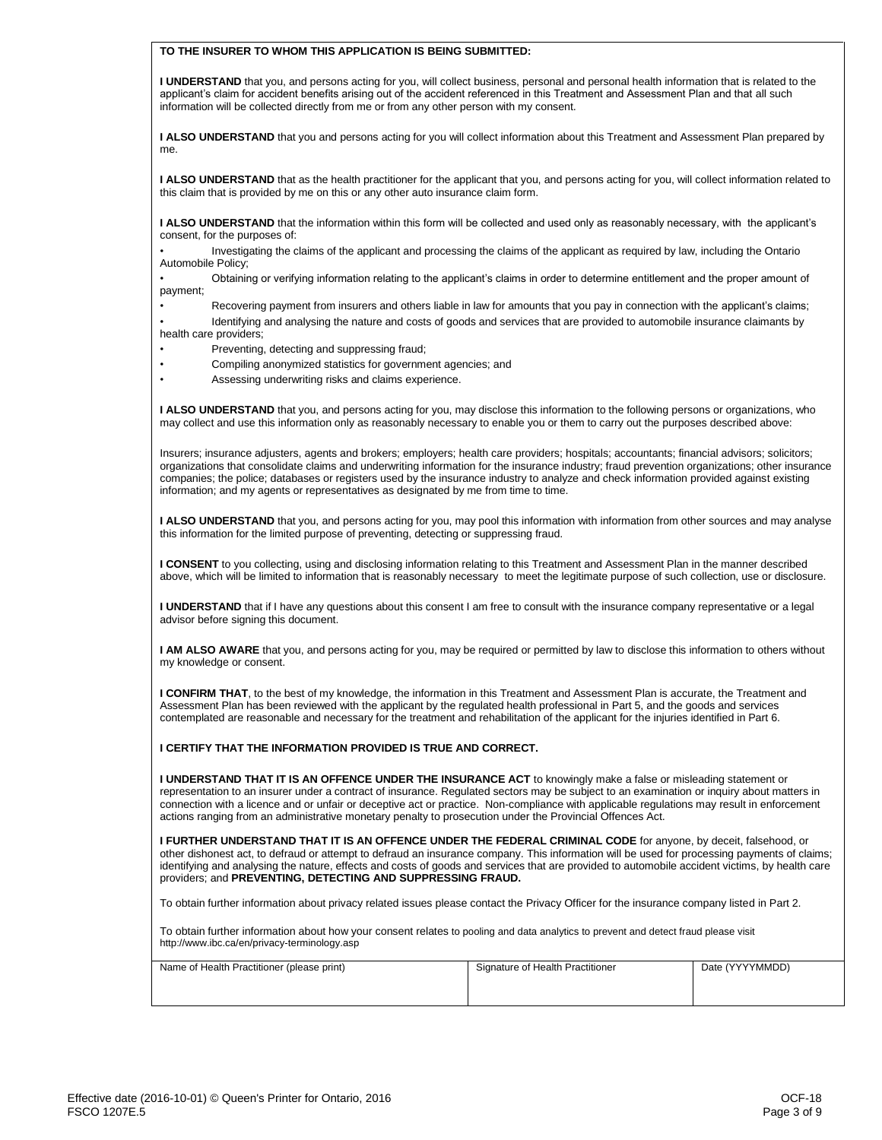|  |  | TO THE INSURER TO WHOM THIS APPLICATION IS BEING SUBMITTED: |
|--|--|-------------------------------------------------------------|
|  |  |                                                             |

**I UNDERSTAND** that you, and persons acting for you, will collect business, personal and personal health information that is related to the applicant's claim for accident benefits arising out of the accident referenced in this Treatment and Assessment Plan and that all such information will be collected directly from me or from any other person with my consent.

**I ALSO UNDERSTAND** that you and persons acting for you will collect information about this Treatment and Assessment Plan prepared by me.

**I ALSO UNDERSTAND** that as the health practitioner for the applicant that you, and persons acting for you, will collect information related to this claim that is provided by me on this or any other auto insurance claim form.

I ALSO UNDERSTAND that the information within this form will be collected and used only as reasonably necessary, with the applicant's consent, for the purposes of:

• Investigating the claims of the applicant and processing the claims of the applicant as required by law, including the Ontario Automobile Policy;

• Obtaining or verifying information relating to the applicant's claims in order to determine entitlement and the proper amount of payment;

- Recovering payment from insurers and others liable in law for amounts that you pay in connection with the applicant's claims;
- Identifying and analysing the nature and costs of goods and services that are provided to automobile insurance claimants by health care providers;
- Preventing, detecting and suppressing fraud;
- Compiling anonymized statistics for government agencies; and
- Assessing underwriting risks and claims experience.

**I ALSO UNDERSTAND** that you, and persons acting for you, may disclose this information to the following persons or organizations, who may collect and use this information only as reasonably necessary to enable you or them to carry out the purposes described above:

Insurers; insurance adjusters, agents and brokers; employers; health care providers; hospitals; accountants; financial advisors; solicitors; organizations that consolidate claims and underwriting information for the insurance industry; fraud prevention organizations; other insurance companies; the police; databases or registers used by the insurance industry to analyze and check information provided against existing information; and my agents or representatives as designated by me from time to time.

**I ALSO UNDERSTAND** that you, and persons acting for you, may pool this information with information from other sources and may analyse this information for the limited purpose of preventing, detecting or suppressing fraud.

**I CONSENT** to you collecting, using and disclosing information relating to this Treatment and Assessment Plan in the manner described above, which will be limited to information that is reasonably necessary to meet the legitimate purpose of such collection, use or disclosure.

**I UNDERSTAND** that if I have any questions about this consent I am free to consult with the insurance company representative or a legal advisor before signing this document.

**I AM ALSO AWARE** that you, and persons acting for you, may be required or permitted by law to disclose this information to others without my knowledge or consent.

**I CONFIRM THAT**, to the best of my knowledge, the information in this Treatment and Assessment Plan is accurate, the Treatment and Assessment Plan has been reviewed with the applicant by the regulated health professional in Part 5, and the goods and services contemplated are reasonable and necessary for the treatment and rehabilitation of the applicant for the injuries identified in Part 6.

## **I CERTIFY THAT THE INFORMATION PROVIDED IS TRUE AND CORRECT.**

**I UNDERSTAND THAT IT IS AN OFFENCE UNDER THE INSURANCE ACT** to knowingly make a false or misleading statement or representation to an insurer under a contract of insurance. Regulated sectors may be subject to an examination or inquiry about matters in connection with a licence and or unfair or deceptive act or practice. Non-compliance with applicable regulations may result in enforcement actions ranging from an administrative monetary penalty to prosecution under the Provincial Offences Act.

**I FURTHER UNDERSTAND THAT IT IS AN OFFENCE UNDER THE FEDERAL CRIMINAL CODE** for anyone, by deceit, falsehood, or other dishonest act, to defraud or attempt to defraud an insurance company. This information will be used for processing payments of claims; identifying and analysing the nature, effects and costs of goods and services that are provided to automobile accident victims, by health care providers; and **PREVENTING, DETECTING AND SUPPRESSING FRAUD.**

To obtain further information about privacy related issues please contact the Privacy Officer for the insurance company listed in Part 2.

To obtain further information about how your consent relates to pooling and data analytics to prevent and detect fraud please visit http://www.ibc.ca/en/privacy-terminology.asp

| Name of Health Practitioner (please print) | Signature of Health Practitioner | Date (YYYYMMDD) |
|--------------------------------------------|----------------------------------|-----------------|
|                                            |                                  |                 |
|                                            |                                  |                 |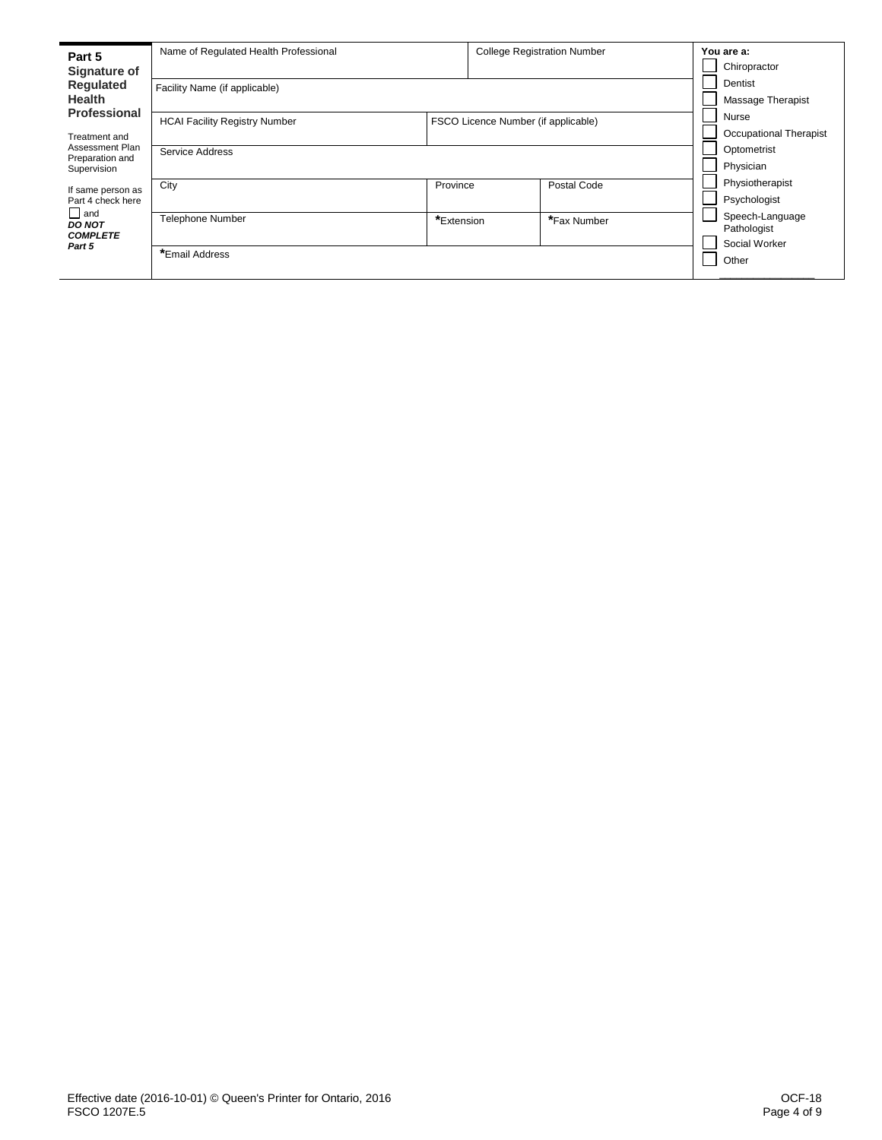| Part 5<br>Signature of                         | Name of Regulated Health Professional |                                     | <b>College Registration Number</b> | You are a:<br>Chiropractor     |
|------------------------------------------------|---------------------------------------|-------------------------------------|------------------------------------|--------------------------------|
| Regulated<br><b>Health</b>                     | Facility Name (if applicable)         |                                     |                                    | Dentist<br>Massage Therapist   |
| Professional                                   | <b>HCAI Facility Registry Number</b>  | FSCO Licence Number (if applicable) |                                    | Nurse                          |
| Treatment and                                  |                                       |                                     |                                    | Occupational Therapist         |
| Assessment Plan<br>Preparation and             | Service Address                       |                                     |                                    | Optometrist                    |
| Supervision                                    |                                       | Physician                           |                                    |                                |
| If same person as                              | City                                  | Province                            | Postal Code                        | Physiotherapist                |
| Part 4 check here                              |                                       |                                     |                                    | Psychologist                   |
| $\Box$ and<br><b>DO NOT</b><br><b>COMPLETE</b> | <b>Telephone Number</b>               | *Extension                          | *Fax Number                        | Speech-Language<br>Pathologist |
| Part 5                                         | *Email Address                        |                                     |                                    | Social Worker<br>Other         |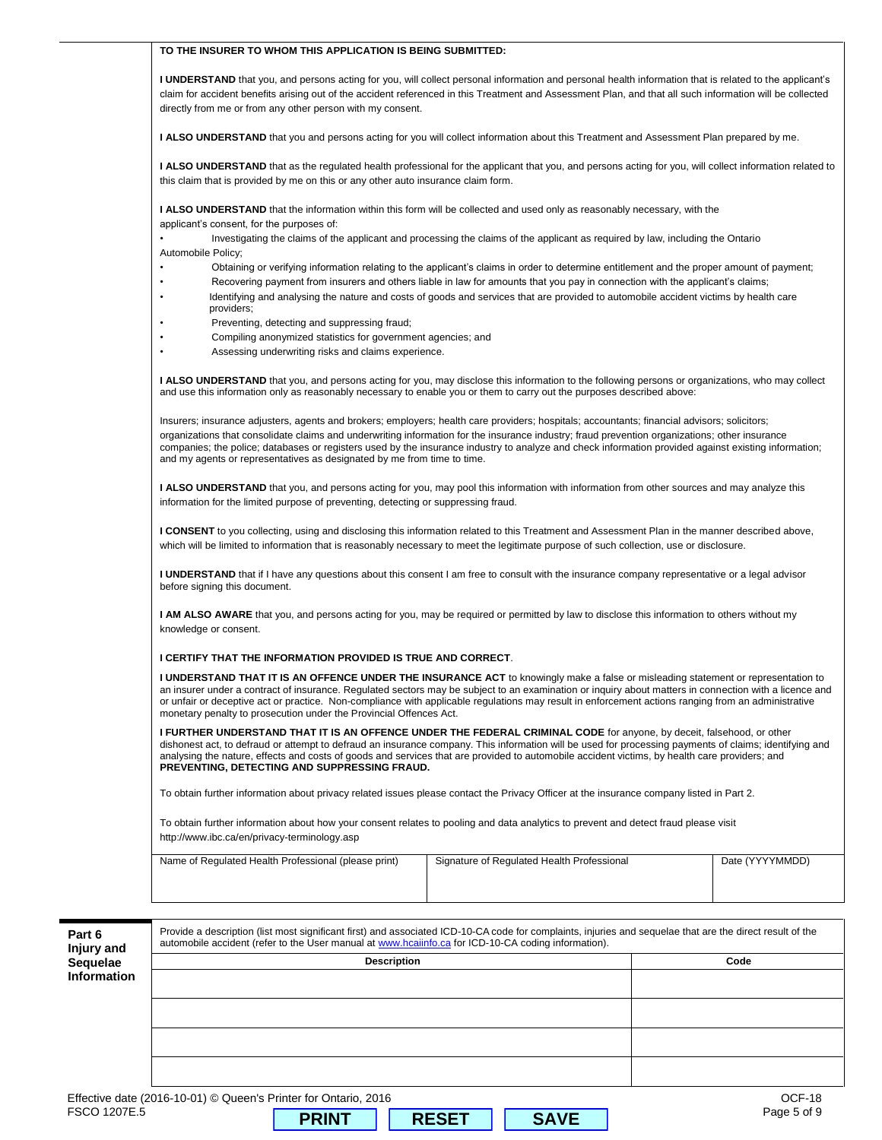| <b>uelae</b>   | <b>Description</b>                                                                                                                                                                                                                                                                                                                                                                                                                                                                                                                | Code            |
|----------------|-----------------------------------------------------------------------------------------------------------------------------------------------------------------------------------------------------------------------------------------------------------------------------------------------------------------------------------------------------------------------------------------------------------------------------------------------------------------------------------------------------------------------------------|-----------------|
| t 6<br>ıry and | Provide a description (list most significant first) and associated ICD-10-CA code for complaints, injuries and sequelae that are the direct result of the<br>automobile accident (refer to the User manual at www.hcaiinfo.ca for ICD-10-CA coding information).                                                                                                                                                                                                                                                                  |                 |
|                |                                                                                                                                                                                                                                                                                                                                                                                                                                                                                                                                   |                 |
|                |                                                                                                                                                                                                                                                                                                                                                                                                                                                                                                                                   |                 |
|                | http://www.ibc.ca/en/privacy-terminology.asp<br>Name of Regulated Health Professional (please print)<br>Signature of Regulated Health Professional                                                                                                                                                                                                                                                                                                                                                                                | Date (YYYYMMDD) |
|                | To obtain further information about privacy related issues please contact the Privacy Officer at the insurance company listed in Part 2.<br>To obtain further information about how your consent relates to pooling and data analytics to prevent and detect fraud please visit                                                                                                                                                                                                                                                   |                 |
|                | PREVENTING, DETECTING AND SUPPRESSING FRAUD.                                                                                                                                                                                                                                                                                                                                                                                                                                                                                      |                 |
|                | I FURTHER UNDERSTAND THAT IT IS AN OFFENCE UNDER THE FEDERAL CRIMINAL CODE for anyone, by deceit, falsehood, or other<br>dishonest act, to defraud or attempt to defraud an insurance company. This information will be used for processing payments of claims; identifying and<br>analysing the nature, effects and costs of goods and services that are provided to automobile accident victims, by health care providers; and                                                                                                  |                 |
|                | I UNDERSTAND THAT IT IS AN OFFENCE UNDER THE INSURANCE ACT to knowingly make a false or misleading statement or representation to<br>an insurer under a contract of insurance. Regulated sectors may be subject to an examination or inquiry about matters in connection with a licence and<br>or unfair or deceptive act or practice. Non-compliance with applicable regulations may result in enforcement actions ranging from an administrative<br>monetary penalty to prosecution under the Provincial Offences Act.          |                 |
|                | knowledge or consent.<br>I CERTIFY THAT THE INFORMATION PROVIDED IS TRUE AND CORRECT.                                                                                                                                                                                                                                                                                                                                                                                                                                             |                 |
|                | <b>I UNDERSTAND</b> that if I have any questions about this consent I am free to consult with the insurance company representative or a legal advisor<br>before signing this document.<br>I AM ALSO AWARE that you, and persons acting for you, may be required or permitted by law to disclose this information to others without my                                                                                                                                                                                             |                 |
|                | I CONSENT to you collecting, using and disclosing this information related to this Treatment and Assessment Plan in the manner described above,<br>which will be limited to information that is reasonably necessary to meet the legitimate purpose of such collection, use or disclosure.                                                                                                                                                                                                                                        |                 |
|                | <b>I ALSO UNDERSTAND</b> that you, and persons acting for you, may pool this information with information from other sources and may analyze this<br>information for the limited purpose of preventing, detecting or suppressing fraud.                                                                                                                                                                                                                                                                                           |                 |
|                | Insurers; insurance adjusters, agents and brokers; employers; health care providers; hospitals; accountants; financial advisors; solicitors;<br>organizations that consolidate claims and underwriting information for the insurance industry; fraud prevention organizations; other insurance<br>companies; the police; databases or registers used by the insurance industry to analyze and check information provided against existing information;<br>and my agents or representatives as designated by me from time to time. |                 |
|                | I ALSO UNDERSTAND that you, and persons acting for you, may disclose this information to the following persons or organizations, who may collect<br>and use this information only as reasonably necessary to enable you or them to carry out the purposes described above:                                                                                                                                                                                                                                                        |                 |
|                | Assessing underwriting risks and claims experience.                                                                                                                                                                                                                                                                                                                                                                                                                                                                               |                 |
|                | Compiling anonymized statistics for government agencies; and                                                                                                                                                                                                                                                                                                                                                                                                                                                                      |                 |
|                | Identifying and analysing the nature and costs of goods and services that are provided to automobile accident victims by health care<br>providers;<br>Preventing, detecting and suppressing fraud;                                                                                                                                                                                                                                                                                                                                |                 |
|                | Automobile Policy;<br>Obtaining or verifying information relating to the applicant's claims in order to determine entitlement and the proper amount of payment;<br>Recovering payment from insurers and others liable in law for amounts that you pay in connection with the applicant's claims;                                                                                                                                                                                                                                  |                 |
|                | <b>I ALSO UNDERSTAND</b> that the information within this form will be collected and used only as reasonably necessary, with the<br>applicant's consent, for the purposes of:<br>Investigating the claims of the applicant and processing the claims of the applicant as required by law, including the Ontario                                                                                                                                                                                                                   |                 |
|                | <b>I ALSO UNDERSTAND</b> that as the regulated health professional for the applicant that you, and persons acting for you, will collect information related to<br>this claim that is provided by me on this or any other auto insurance claim form.                                                                                                                                                                                                                                                                               |                 |
|                | <b>I ALSO UNDERSTAND</b> that you and persons acting for you will collect information about this Treatment and Assessment Plan prepared by me.                                                                                                                                                                                                                                                                                                                                                                                    |                 |
|                | claim for accident benefits arising out of the accident referenced in this Treatment and Assessment Plan, and that all such information will be collected<br>directly from me or from any other person with my consent.                                                                                                                                                                                                                                                                                                           |                 |
|                | I UNDERSTAND that you, and persons acting for you, will collect personal information and personal health information that is related to the applicant's                                                                                                                                                                                                                                                                                                                                                                           |                 |
|                | TO THE INSURER TO WHOM THIS APPLICATION IS BEING SUBMITTED:                                                                                                                                                                                                                                                                                                                                                                                                                                                                       |                 |

| Name of Regulated Health Professional (please print) | Signature of Regulated Health Professional | Date (YYYYMMDD) |
|------------------------------------------------------|--------------------------------------------|-----------------|
|                                                      |                                            |                 |
|                                                      |                                            |                 |

| Part 6<br>Injury and | Provide a description (list most significant first) and associated ICD-10-CA code for complaints, injuries and sequelae that are the direct result of the<br>automobile accident (refer to the User manual at www.hcaiinfo.ca for ICD-10-CA coding information). |             |
|----------------------|------------------------------------------------------------------------------------------------------------------------------------------------------------------------------------------------------------------------------------------------------------------|-------------|
| Sequelae             | <b>Description</b>                                                                                                                                                                                                                                               | Code        |
| <b>Information</b>   |                                                                                                                                                                                                                                                                  |             |
|                      |                                                                                                                                                                                                                                                                  |             |
|                      |                                                                                                                                                                                                                                                                  |             |
|                      |                                                                                                                                                                                                                                                                  |             |
|                      |                                                                                                                                                                                                                                                                  |             |
|                      |                                                                                                                                                                                                                                                                  |             |
|                      | Effective date (2016-10-01) © Queen's Printer for Ontario, 2016                                                                                                                                                                                                  | OCF-18      |
| FSCO 1207E.5         | <b>SAVE</b><br><b>PRINT</b><br><b>RESET</b>                                                                                                                                                                                                                      | Page 5 of 9 |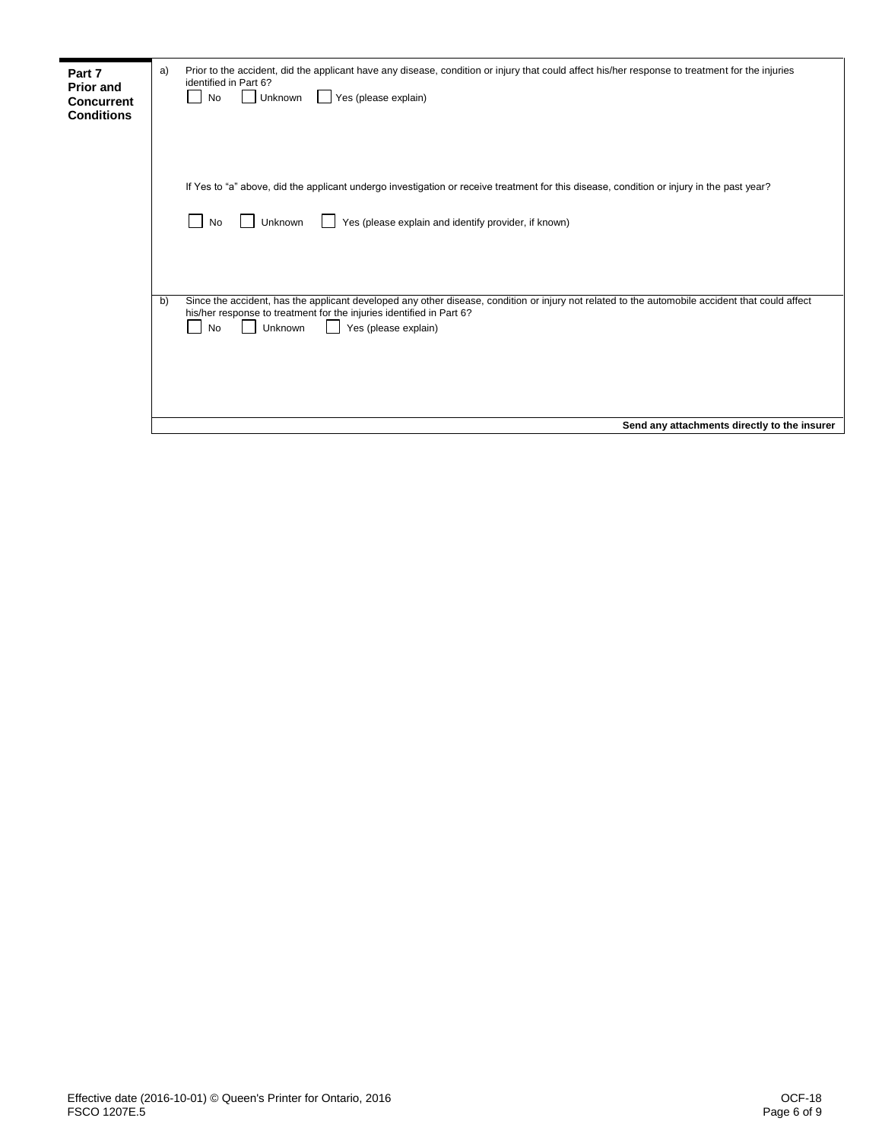| Part 7            | a) | Prior to the accident, did the applicant have any disease, condition or injury that could affect his/her response to treatment for the injuries |
|-------------------|----|-------------------------------------------------------------------------------------------------------------------------------------------------|
| <b>Prior and</b>  |    | identified in Part 6?                                                                                                                           |
| <b>Concurrent</b> |    | Yes (please explain)<br>Unknown<br>No                                                                                                           |
| <b>Conditions</b> |    |                                                                                                                                                 |
|                   |    |                                                                                                                                                 |
|                   |    |                                                                                                                                                 |
|                   |    |                                                                                                                                                 |
|                   |    |                                                                                                                                                 |
|                   |    | If Yes to "a" above, did the applicant undergo investigation or receive treatment for this disease, condition or injury in the past year?       |
|                   |    |                                                                                                                                                 |
|                   |    | Yes (please explain and identify provider, if known)<br>Unknown<br>No                                                                           |
|                   |    |                                                                                                                                                 |
|                   |    |                                                                                                                                                 |
|                   |    |                                                                                                                                                 |
|                   |    |                                                                                                                                                 |
|                   | b) | Since the accident, has the applicant developed any other disease, condition or injury not related to the automobile accident that could affect |
|                   |    | his/her response to treatment for the injuries identified in Part 6?                                                                            |
|                   |    | Unknown<br>Yes (please explain)<br><b>No</b>                                                                                                    |
|                   |    |                                                                                                                                                 |
|                   |    |                                                                                                                                                 |
|                   |    |                                                                                                                                                 |
|                   |    |                                                                                                                                                 |
|                   |    |                                                                                                                                                 |
|                   |    | Send any attachments directly to the insurer                                                                                                    |
|                   |    |                                                                                                                                                 |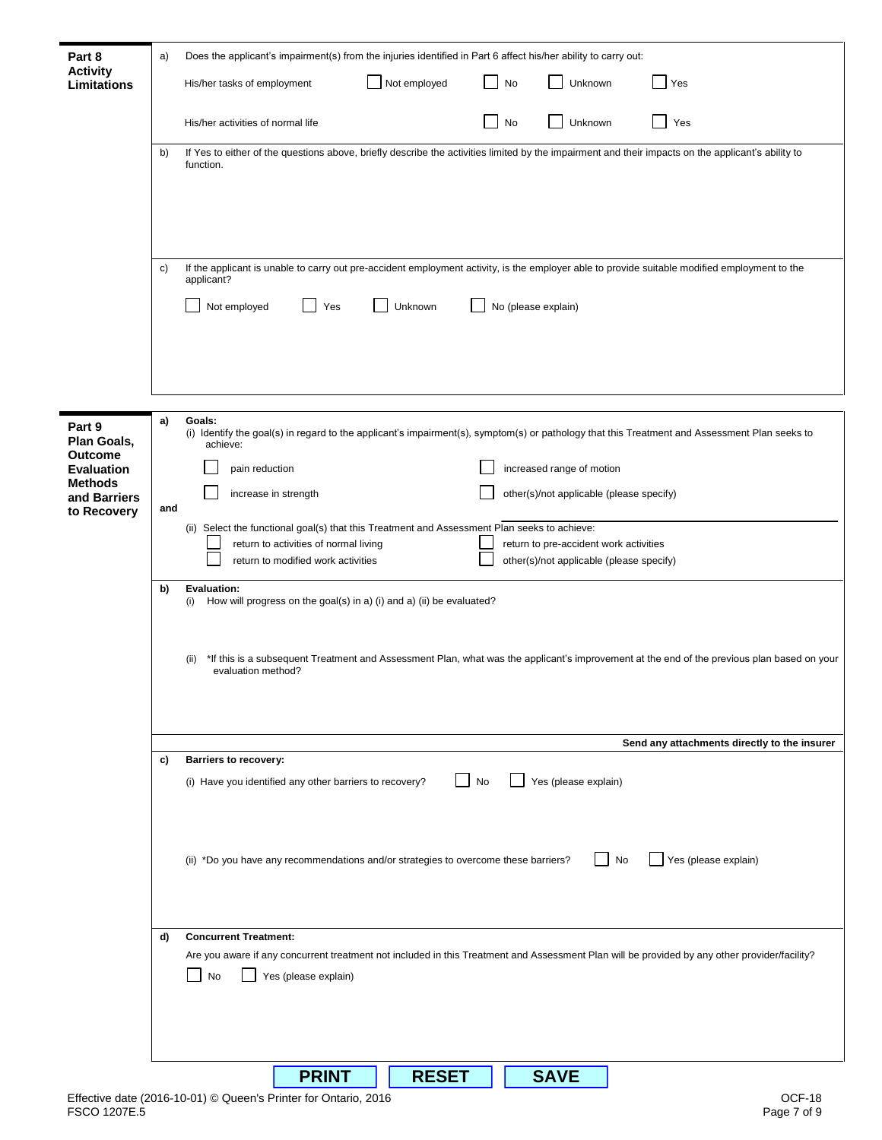| Part 8                                                | a)  | Does the applicant's impairment(s) from the injuries identified in Part 6 affect his/her ability to carry out:                                                           |
|-------------------------------------------------------|-----|--------------------------------------------------------------------------------------------------------------------------------------------------------------------------|
| <b>Activity</b><br>Limitations                        |     | Not employed<br>Unknown<br>No<br>His/her tasks of employment<br>Yes                                                                                                      |
|                                                       |     | Unknown<br>His/her activities of normal life<br>Yes<br>No                                                                                                                |
|                                                       | b)  | If Yes to either of the questions above, briefly describe the activities limited by the impairment and their impacts on the applicant's ability to<br>function.          |
|                                                       |     |                                                                                                                                                                          |
|                                                       |     |                                                                                                                                                                          |
|                                                       | C)  | If the applicant is unable to carry out pre-accident employment activity, is the employer able to provide suitable modified employment to the<br>applicant?              |
|                                                       |     | Not employed<br>Yes<br>No (please explain)<br>Unknown                                                                                                                    |
|                                                       |     |                                                                                                                                                                          |
|                                                       |     |                                                                                                                                                                          |
| Part 9<br>Plan Goals,                                 | a)  | Goals:<br>(i) Identify the goal(s) in regard to the applicant's impairment(s), symptom(s) or pathology that this Treatment and Assessment Plan seeks to<br>achieve:      |
| <b>Outcome</b><br><b>Evaluation</b><br><b>Methods</b> |     | increased range of motion<br>pain reduction                                                                                                                              |
| and Barriers<br>to Recovery                           | and | other(s)/not applicable (please specify)<br>increase in strength<br>(ii) Select the functional goal(s) that this Treatment and Assessment Plan seeks to achieve:         |
|                                                       |     | return to activities of normal living<br>return to pre-accident work activities<br>return to modified work activities<br>other(s)/not applicable (please specify)        |
|                                                       | b)  | Evaluation:<br>How will progress on the goal(s) in a) (i) and a) (ii) be evaluated?<br>(i)                                                                               |
|                                                       |     |                                                                                                                                                                          |
|                                                       |     | *If this is a subsequent Treatment and Assessment Plan, what was the applicant's improvement at the end of the previous plan based on your<br>(ii)<br>evaluation method? |
|                                                       |     |                                                                                                                                                                          |
|                                                       |     | Send any attachments directly to the insurer                                                                                                                             |
|                                                       | c)  | <b>Barriers to recovery:</b><br>Yes (please explain)<br>No<br>(i) Have you identified any other barriers to recovery?                                                    |
|                                                       |     |                                                                                                                                                                          |
|                                                       |     | Yes (please explain)<br>(ii) *Do you have any recommendations and/or strategies to overcome these barriers?<br>No                                                        |
|                                                       |     |                                                                                                                                                                          |
|                                                       | d)  | <b>Concurrent Treatment:</b>                                                                                                                                             |
|                                                       |     | Are you aware if any concurrent treatment not included in this Treatment and Assessment Plan will be provided by any other provider/facility?                            |
|                                                       |     | No<br>Yes (please explain)                                                                                                                                               |
|                                                       |     |                                                                                                                                                                          |
|                                                       |     | <b>PRINT</b><br><b>RESET</b><br><b>SAVE</b>                                                                                                                              |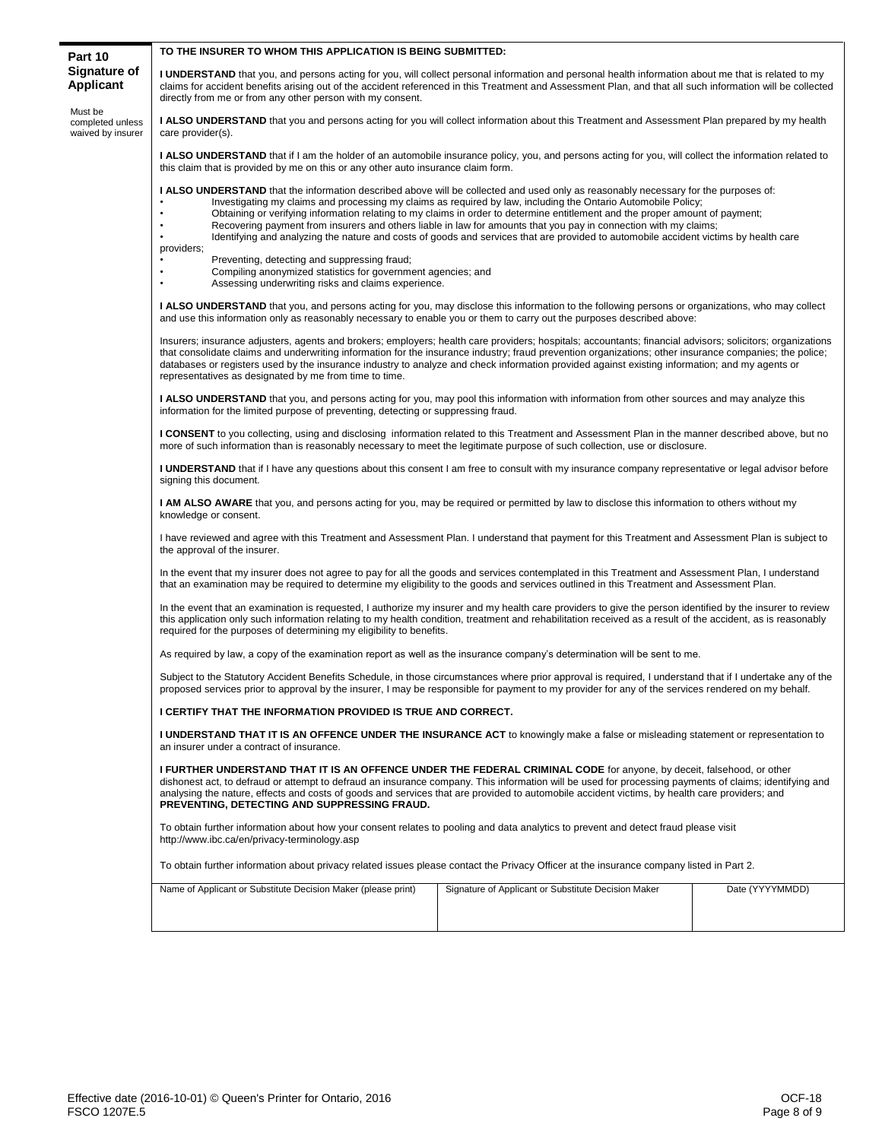| Part 10                                          | TO THE INSURER TO WHOM THIS APPLICATION IS BEING SUBMITTED:                                                                                                                                                                                                                                                                                                                                                                                                                                                                                                                                                                                                                                                                                                                                                                                  |  |  |  |  |  |  |  |  |
|--------------------------------------------------|----------------------------------------------------------------------------------------------------------------------------------------------------------------------------------------------------------------------------------------------------------------------------------------------------------------------------------------------------------------------------------------------------------------------------------------------------------------------------------------------------------------------------------------------------------------------------------------------------------------------------------------------------------------------------------------------------------------------------------------------------------------------------------------------------------------------------------------------|--|--|--|--|--|--|--|--|
| Signature of<br>Applicant                        | I UNDERSTAND that you, and persons acting for you, will collect personal information and personal health information about me that is related to my<br>claims for accident benefits arising out of the accident referenced in this Treatment and Assessment Plan, and that all such information will be collected<br>directly from me or from any other person with my consent.                                                                                                                                                                                                                                                                                                                                                                                                                                                              |  |  |  |  |  |  |  |  |
| Must be<br>completed unless<br>waived by insurer | I ALSO UNDERSTAND that you and persons acting for you will collect information about this Treatment and Assessment Plan prepared by my health<br>care provider(s).                                                                                                                                                                                                                                                                                                                                                                                                                                                                                                                                                                                                                                                                           |  |  |  |  |  |  |  |  |
|                                                  | I ALSO UNDERSTAND that if I am the holder of an automobile insurance policy, you, and persons acting for you, will collect the information related to<br>this claim that is provided by me on this or any other auto insurance claim form.                                                                                                                                                                                                                                                                                                                                                                                                                                                                                                                                                                                                   |  |  |  |  |  |  |  |  |
|                                                  | <b>I ALSO UNDERSTAND</b> that the information described above will be collected and used only as reasonably necessary for the purposes of:<br>Investigating my claims and processing my claims as required by law, including the Ontario Automobile Policy;<br>Obtaining or verifying information relating to my claims in order to determine entitlement and the proper amount of payment;<br>Recovering payment from insurers and others liable in law for amounts that you pay in connection with my claims;<br>Identifying and analyzing the nature and costs of goods and services that are provided to automobile accident victims by health care<br>providers;<br>Preventing, detecting and suppressing fraud;<br>Compiling anonymized statistics for government agencies; and<br>Assessing underwriting risks and claims experience. |  |  |  |  |  |  |  |  |
|                                                  | <b>I ALSO UNDERSTAND</b> that you, and persons acting for you, may disclose this information to the following persons or organizations, who may collect<br>and use this information only as reasonably necessary to enable you or them to carry out the purposes described above:                                                                                                                                                                                                                                                                                                                                                                                                                                                                                                                                                            |  |  |  |  |  |  |  |  |
|                                                  | Insurers; insurance adjusters, agents and brokers; employers; health care providers; hospitals; accountants; financial advisors; solicitors; organizations<br>that consolidate claims and underwriting information for the insurance industry; fraud prevention organizations; other insurance companies; the police;<br>databases or registers used by the insurance industry to analyze and check information provided against existing information; and my agents or<br>representatives as designated by me from time to time.                                                                                                                                                                                                                                                                                                            |  |  |  |  |  |  |  |  |
|                                                  | I ALSO UNDERSTAND that you, and persons acting for you, may pool this information with information from other sources and may analyze this<br>information for the limited purpose of preventing, detecting or suppressing fraud.                                                                                                                                                                                                                                                                                                                                                                                                                                                                                                                                                                                                             |  |  |  |  |  |  |  |  |
|                                                  | <b>I CONSENT</b> to you collecting, using and disclosing information related to this Treatment and Assessment Plan in the manner described above, but no<br>more of such information than is reasonably necessary to meet the legitimate purpose of such collection, use or disclosure.                                                                                                                                                                                                                                                                                                                                                                                                                                                                                                                                                      |  |  |  |  |  |  |  |  |
|                                                  | <b>I UNDERSTAND</b> that if I have any questions about this consent I am free to consult with my insurance company representative or legal advisor before<br>signing this document.                                                                                                                                                                                                                                                                                                                                                                                                                                                                                                                                                                                                                                                          |  |  |  |  |  |  |  |  |
|                                                  | <b>I AM ALSO AWARE</b> that you, and persons acting for you, may be required or permitted by law to disclose this information to others without my<br>knowledge or consent.                                                                                                                                                                                                                                                                                                                                                                                                                                                                                                                                                                                                                                                                  |  |  |  |  |  |  |  |  |
|                                                  | I have reviewed and agree with this Treatment and Assessment Plan. I understand that payment for this Treatment and Assessment Plan is subject to<br>the approval of the insurer.                                                                                                                                                                                                                                                                                                                                                                                                                                                                                                                                                                                                                                                            |  |  |  |  |  |  |  |  |
|                                                  | In the event that my insurer does not agree to pay for all the goods and services contemplated in this Treatment and Assessment Plan, I understand<br>that an examination may be required to determine my eligibility to the goods and services outlined in this Treatment and Assessment Plan.                                                                                                                                                                                                                                                                                                                                                                                                                                                                                                                                              |  |  |  |  |  |  |  |  |
|                                                  | In the event that an examination is requested, I authorize my insurer and my health care providers to give the person identified by the insurer to review<br>this application only such information relating to my health condition, treatment and rehabilitation received as a result of the accident, as is reasonably<br>required for the purposes of determining my eligibility to benefits.                                                                                                                                                                                                                                                                                                                                                                                                                                             |  |  |  |  |  |  |  |  |
|                                                  | As required by law, a copy of the examination report as well as the insurance company's determination will be sent to me.                                                                                                                                                                                                                                                                                                                                                                                                                                                                                                                                                                                                                                                                                                                    |  |  |  |  |  |  |  |  |
|                                                  | Subject to the Statutory Accident Benefits Schedule, in those circumstances where prior approval is required, I understand that if I undertake any of the<br>proposed services prior to approval by the insurer, I may be responsible for payment to my provider for any of the services rendered on my behalf.                                                                                                                                                                                                                                                                                                                                                                                                                                                                                                                              |  |  |  |  |  |  |  |  |
|                                                  | I CERTIFY THAT THE INFORMATION PROVIDED IS TRUE AND CORRECT.                                                                                                                                                                                                                                                                                                                                                                                                                                                                                                                                                                                                                                                                                                                                                                                 |  |  |  |  |  |  |  |  |
|                                                  | <b>I UNDERSTAND THAT IT IS AN OFFENCE UNDER THE INSURANCE ACT</b> to knowingly make a false or misleading statement or representation to<br>an insurer under a contract of insurance.                                                                                                                                                                                                                                                                                                                                                                                                                                                                                                                                                                                                                                                        |  |  |  |  |  |  |  |  |
|                                                  | I FURTHER UNDERSTAND THAT IT IS AN OFFENCE UNDER THE FEDERAL CRIMINAL CODE for anyone, by deceit, falsehood, or other<br>dishonest act, to defraud or attempt to defraud an insurance company. This information will be used for processing payments of claims; identifying and<br>analysing the nature, effects and costs of goods and services that are provided to automobile accident victims, by health care providers; and<br>PREVENTING, DETECTING AND SUPPRESSING FRAUD.                                                                                                                                                                                                                                                                                                                                                             |  |  |  |  |  |  |  |  |
|                                                  | To obtain further information about how your consent relates to pooling and data analytics to prevent and detect fraud please visit<br>http://www.ibc.ca/en/privacy-terminology.asp                                                                                                                                                                                                                                                                                                                                                                                                                                                                                                                                                                                                                                                          |  |  |  |  |  |  |  |  |
|                                                  | To obtain further information about privacy related issues please contact the Privacy Officer at the insurance company listed in Part 2.                                                                                                                                                                                                                                                                                                                                                                                                                                                                                                                                                                                                                                                                                                     |  |  |  |  |  |  |  |  |
|                                                  | Name of Applicant or Substitute Decision Maker (please print)<br>Date (YYYYMMDD)<br>Signature of Applicant or Substitute Decision Maker                                                                                                                                                                                                                                                                                                                                                                                                                                                                                                                                                                                                                                                                                                      |  |  |  |  |  |  |  |  |
|                                                  |                                                                                                                                                                                                                                                                                                                                                                                                                                                                                                                                                                                                                                                                                                                                                                                                                                              |  |  |  |  |  |  |  |  |